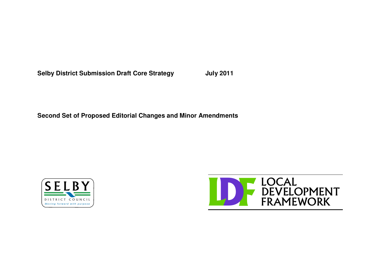**Selby District Submission Draft Core Strategy July 2011**

**Second Set of Proposed Editorial Changes and Minor Amendments**



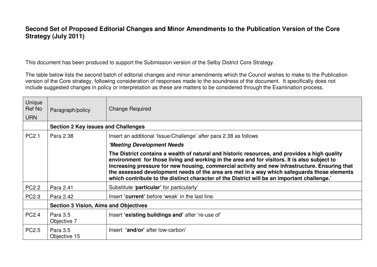## **Second Set of Proposed Editorial Changes and Minor Amendments to the Publication Version of the Core Strategy (July 2011)**

This document has been produced to support the Submission version of the Selby District Core Strategy.

The table below lists the second batch of editorial changes and minor amendments which the Council wishes to make to the Publication version of the Core strategy, following consideration of responses made to the soundness of the document. It specifically does not include suggested changes in policy or interpretation as these are matters to be considered through the Examination process.

| Unique<br>Ref No<br><b>URN</b> | Paragraph/policy                             | <b>Change Required</b>                                                                                                                                                                                                                                                                                                                                                                                                                                                                        |  |
|--------------------------------|----------------------------------------------|-----------------------------------------------------------------------------------------------------------------------------------------------------------------------------------------------------------------------------------------------------------------------------------------------------------------------------------------------------------------------------------------------------------------------------------------------------------------------------------------------|--|
|                                | <b>Section 2 Key issues and Challenges</b>   |                                                                                                                                                                                                                                                                                                                                                                                                                                                                                               |  |
| PC2.1                          | Para 2.38                                    | Insert an additional 'Issue/Challenge' after para 2.38 as follows                                                                                                                                                                                                                                                                                                                                                                                                                             |  |
|                                |                                              | 'Meeting Development Needs                                                                                                                                                                                                                                                                                                                                                                                                                                                                    |  |
|                                |                                              | The District contains a wealth of natural and historic resources, and provides a high quality<br>environment for those living and working in the area and for visitors. It is also subject to<br>increasing pressure for new housing, commercial activity and new infrastructure. Ensuring that<br>the assessed development needs of the area are met in a way which safeguards those elements<br>which contribute to the distinct character of the District will be an important challenge.' |  |
| <b>PC2.2</b>                   | Para 2.41                                    | Substitute 'particular' for particularly'                                                                                                                                                                                                                                                                                                                                                                                                                                                     |  |
| <b>PC2.3</b>                   | Para 2.42                                    | Insert 'current' before 'weak' in the last line.                                                                                                                                                                                                                                                                                                                                                                                                                                              |  |
|                                | <b>Section 3 Vision, Aims and Objectives</b> |                                                                                                                                                                                                                                                                                                                                                                                                                                                                                               |  |
| <b>PC2.4</b>                   | Para 3.5<br>Objective 7                      | Insert 'existing buildings and' after 're-use of'                                                                                                                                                                                                                                                                                                                                                                                                                                             |  |
| PC <sub>2.5</sub>              | Para 3.5<br>Objective 15                     | Insert 'and/or' after low-carbon'                                                                                                                                                                                                                                                                                                                                                                                                                                                             |  |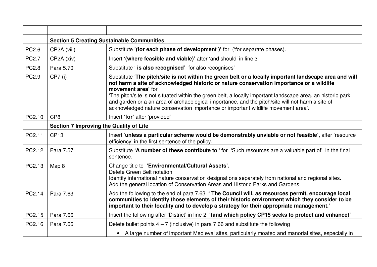|              | <b>Section 5 Creating Sustainable Communities</b> |                                                                                                                                                                                                                                                                                                                                                                                                                                                                                                                                 |  |
|--------------|---------------------------------------------------|---------------------------------------------------------------------------------------------------------------------------------------------------------------------------------------------------------------------------------------------------------------------------------------------------------------------------------------------------------------------------------------------------------------------------------------------------------------------------------------------------------------------------------|--|
| PC2.6        | CP2A (viii)                                       | Substitute '(for each phase of development)' for ('for separate phases).                                                                                                                                                                                                                                                                                                                                                                                                                                                        |  |
| <b>PC2.7</b> | CP2A (xiv)                                        | Insert '(where feasible and viable)' after 'and should' in line 3                                                                                                                                                                                                                                                                                                                                                                                                                                                               |  |
| <b>PC2.8</b> | Para 5.70                                         | Substitute ' is also recognised' for also recognises'                                                                                                                                                                                                                                                                                                                                                                                                                                                                           |  |
| PC2.9        | $CP7$ (i)                                         | Substitute 'The pitch/site is not within the green belt or a locally important landscape area and will<br>not harm a site of acknowledged historic or nature conservation importance or a wildlife<br>movement area' for<br>The pitch/site is not situated within the green belt, a locally important landscape area, an historic park<br>and garden or a an area of archaeological importance, and the pitch/site will not harm a site of<br>acknowledged nature conservation importance or important wildlife movement area'. |  |
| PC2.10       | CP <sub>8</sub>                                   | Insert 'for' after 'provided'                                                                                                                                                                                                                                                                                                                                                                                                                                                                                                   |  |
|              | <b>Section 7 Improving the Quality of Life</b>    |                                                                                                                                                                                                                                                                                                                                                                                                                                                                                                                                 |  |
| PC2.11       | <b>CP13</b>                                       | Insert 'unless a particular scheme would be demonstrably unviable or not feasible', after 'resource<br>efficiency' in the first sentence of the policy.                                                                                                                                                                                                                                                                                                                                                                         |  |
| PC2.12       | Para 7.57                                         | Substitute 'A number of these contribute to 'for 'Such resources are a valuable part of' in the final<br>sentence.                                                                                                                                                                                                                                                                                                                                                                                                              |  |
| PC2.13       | Map 8                                             | Change title to 'Environmental/Cultural Assets'.<br>Delete Green Belt notation<br>Identify international nature conservation designations separately from national and regional sites.<br>Add the general location of Conservation Areas and Historic Parks and Gardens                                                                                                                                                                                                                                                         |  |
| PC2.14       | Para 7.63                                         | Add the following to the end of para 7.63 'The Council will, as resources permit, encourage local<br>communities to identify those elements of their historic environment which they consider to be<br>important to their locality and to develop a strategy for their appropriate management.'                                                                                                                                                                                                                                 |  |
| PC2.15       | Para 7.66                                         | Insert the following after 'District' in line 2 '(and which policy CP15 seeks to protect and enhance)'                                                                                                                                                                                                                                                                                                                                                                                                                          |  |
| PC2.16       | Para 7.66                                         | Delete bullet points $4 - 7$ (inclusive) in para 7.66 and substitute the following                                                                                                                                                                                                                                                                                                                                                                                                                                              |  |
|              |                                                   | • A large number of important Medieval sites, particularly moated and manorial sites, especially in                                                                                                                                                                                                                                                                                                                                                                                                                             |  |